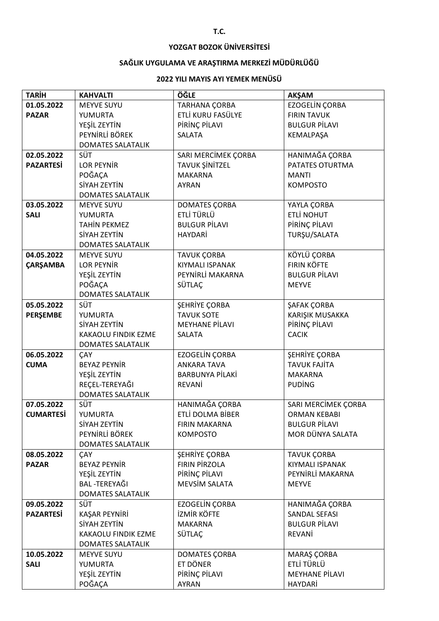## **YOZGAT BOZOK ÜNİVERSİTESİ**

## **SAĞLIK UYGULAMA VE ARAŞTIRMA MERKEZİ MÜDÜRLÜĞÜ**

## **2022 YILI MAYIS AYI YEMEK MENÜSÜ**

| <b>TARİH</b>     | <b>KAHVALTI</b>                | ÖĞLE                   | <b>AKŞAM</b>          |
|------------------|--------------------------------|------------------------|-----------------------|
| 01.05.2022       | <b>MEYVE SUYU</b>              | TARHANA ÇORBA          | <b>EZOGELİN ÇORBA</b> |
| <b>PAZAR</b>     | YUMURTA                        | ETLİ KURU FASÜLYE      | <b>FIRIN TAVUK</b>    |
|                  | YEŞİL ZEYTİN                   | PIRINÇ PILAVI          | <b>BULGUR PİLAVI</b>  |
|                  | PEYNİRLİ BÖREK                 | <b>SALATA</b>          | KEMALPAŞA             |
|                  | <b>DOMATES SALATALIK</b>       |                        |                       |
| 02.05.2022       | SÜT                            | SARI MERCİMEK ÇORBA    | HANIMAĞA ÇORBA        |
| <b>PAZARTESİ</b> | <b>LOR PEYNIR</b>              | <b>TAVUK ŞİNİTZEL</b>  | PATATES OTURTMA       |
|                  | POĞAÇA                         | <b>MAKARNA</b>         | <b>MANTI</b>          |
|                  | SİYAH ZEYTİN                   | <b>AYRAN</b>           | <b>KOMPOSTO</b>       |
|                  | <b>DOMATES SALATALIK</b>       |                        |                       |
| 03.05.2022       | <b>MEYVE SUYU</b>              | DOMATES ÇORBA          | YAYLA ÇORBA           |
| <b>SALI</b>      | YUMURTA                        | ETLİ TÜRLÜ             | <b>ETLİ NOHUT</b>     |
|                  | <b>TAHİN PEKMEZ</b>            | <b>BULGUR PİLAVI</b>   | PİRİNÇ PİLAVI         |
|                  | SİYAH ZEYTİN                   | <b>HAYDARİ</b>         | TURŞU/SALATA          |
|                  | <b>DOMATES SALATALIK</b>       |                        |                       |
| 04.05.2022       | <b>MEYVE SUYU</b>              | <b>TAVUK ÇORBA</b>     | KÖYLÜ ÇORBA           |
| <b>ÇARŞAMBA</b>  | LOR PEYNIR                     | <b>KIYMALI ISPANAK</b> | <b>FIRIN KÖFTE</b>    |
|                  | YEŞİL ZEYTİN                   | PEYNIRLI MAKARNA       | <b>BULGUR PİLAVI</b>  |
|                  | POĞAÇA                         | SÜTLAÇ                 | <b>MEYVE</b>          |
|                  | <b>DOMATES SALATALIK</b>       |                        |                       |
| 05.05.2022       | <b>SÜT</b>                     | <b>SEHRİYE ÇORBA</b>   | ŞAFAK ÇORBA           |
| <b>PERŞEMBE</b>  | YUMURTA                        | <b>TAVUK SOTE</b>      | KARIŞIK MUSAKKA       |
|                  | SİYAH ZEYTİN                   | <b>MEYHANE PİLAVI</b>  | PİRİNÇ PİLAVI         |
|                  | KAKAOLU FINDIK EZME            | <b>SALATA</b>          | <b>CACIK</b>          |
|                  | <b>DOMATES SALATALIK</b>       |                        |                       |
| 06.05.2022       | <b>CAY</b>                     | <b>EZOGELIN CORBA</b>  | <b>SEHRİYE ÇORBA</b>  |
| <b>CUMA</b>      | <b>BEYAZ PEYNİR</b>            | <b>ANKARA TAVA</b>     | <b>TAVUK FAJİTA</b>   |
|                  | YEŞİL ZEYTİN<br>REÇEL-TEREYAĞI | <b>BARBUNYA PİLAKİ</b> | <b>MAKARNA</b>        |
|                  | <b>DOMATES SALATALIK</b>       | REVANİ                 | <b>PUDING</b>         |
| 07.05.2022       | <b>SÜT</b>                     | HANIMAĞA ÇORBA         | SARI MERCİMEK ÇORBA   |
| <b>CUMARTESI</b> | YUMURTA                        | ETLİ DOLMA BİBER       | <b>ORMAN KEBABI</b>   |
|                  | SİYAH ZEYTİN                   | <b>FIRIN MAKARNA</b>   | <b>BULGUR PİLAVI</b>  |
|                  | PEYNİRLİ BÖREK                 | <b>KOMPOSTO</b>        | MOR DÜNYA SALATA      |
|                  | <b>DOMATES SALATALIK</b>       |                        |                       |
| 08.05.2022       | ÇAY                            | <b>SEHRİYE ÇORBA</b>   | <b>TAVUK ÇORBA</b>    |
| <b>PAZAR</b>     | <b>BEYAZ PEYNİR</b>            | <b>FIRIN PIRZOLA</b>   | KIYMALI ISPANAK       |
|                  | YEŞİL ZEYTİN                   | PİRİNÇ PİLAVI          | PEYNIRLI MAKARNA      |
|                  | <b>BAL-TEREYAĞI</b>            | <b>MEVSİM SALATA</b>   | <b>MEYVE</b>          |
|                  | <b>DOMATES SALATALIK</b>       |                        |                       |
| 09.05.2022       | <b>SÜT</b>                     | EZOGELİN ÇORBA         | HANIMAĞA ÇORBA        |
| <b>PAZARTESİ</b> | KAŞAR PEYNİRİ                  | <b>İZMİR KÖFTE</b>     | <b>SANDAL SEFASI</b>  |
|                  | SİYAH ZEYTİN                   | <b>MAKARNA</b>         | <b>BULGUR PİLAVI</b>  |
|                  | KAKAOLU FINDIK EZME            | SÜTLAÇ                 | REVANİ                |
|                  | <b>DOMATES SALATALIK</b>       |                        |                       |
| 10.05.2022       | MEYVE SUYU                     | <b>DOMATES ÇORBA</b>   | MARAŞ ÇORBA           |
| <b>SALI</b>      | YUMURTA                        | ET DÖNER               | ETLİ TÜRLÜ            |
|                  | YEŞİL ZEYTİN                   | PİRİNÇ PİLAVI          | <b>MEYHANE PİLAVI</b> |
|                  | POĞAÇA                         | <b>AYRAN</b>           | HAYDARİ               |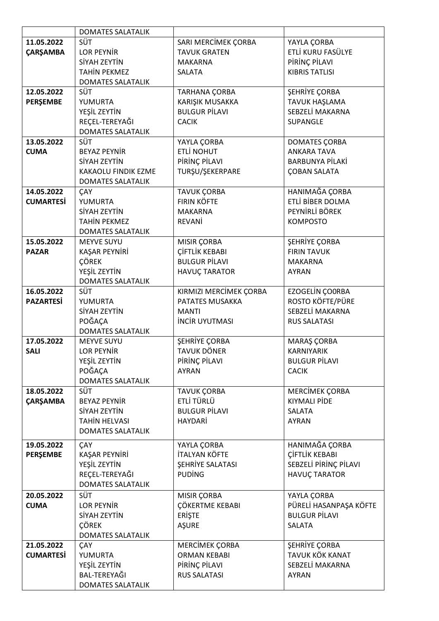|                  | <b>DOMATES SALATALIK</b>   |                         |                        |
|------------------|----------------------------|-------------------------|------------------------|
| 11.05.2022       | SÜT                        | SARI MERCİMEK ÇORBA     | YAYLA ÇORBA            |
| <b>ÇARŞAMBA</b>  | <b>LOR PEYNIR</b>          | <b>TAVUK GRATEN</b>     | ETLİ KURU FASÜLYE      |
|                  | SİYAH ZEYTİN               | <b>MAKARNA</b>          | PİRİNÇ PİLAVI          |
|                  | <b>TAHİN PEKMEZ</b>        | <b>SALATA</b>           | <b>KIBRIS TATLISI</b>  |
|                  | <b>DOMATES SALATALIK</b>   |                         |                        |
| 12.05.2022       | SÜT                        | TARHANA ÇORBA           | <b>ŞEHRİYE ÇORBA</b>   |
| PERŞEMBE         | YUMURTA                    | KARIŞIK MUSAKKA         | TAVUK HAŞLAMA          |
|                  | YEŞİL ZEYTİN               | <b>BULGUR PİLAVI</b>    | SEBZELİ MAKARNA        |
|                  | REÇEL-TEREYAĞI             | <b>CACIK</b>            | <b>SUPANGLE</b>        |
|                  | <b>DOMATES SALATALIK</b>   |                         |                        |
| 13.05.2022       | SÜT                        | YAYLA ÇORBA             | <b>DOMATES CORBA</b>   |
| <b>CUMA</b>      | <b>BEYAZ PEYNIR</b>        | <b>ETLİ NOHUT</b>       | <b>ANKARA TAVA</b>     |
|                  | SİYAH ZEYTİN               | PİRİNÇ PİLAVI           | <b>BARBUNYA PİLAKİ</b> |
|                  | <b>KAKAOLU FINDIK EZME</b> | TURŞU/ŞEKERPARE         | ÇOBAN SALATA           |
|                  | <b>DOMATES SALATALIK</b>   |                         |                        |
| 14.05.2022       | ÇAY                        | <b>TAVUK ÇORBA</b>      | HANIMAĞA ÇORBA         |
| <b>CUMARTESi</b> | YUMURTA                    | <b>FIRIN KÖFTE</b>      | ETLİ BİBER DOLMA       |
|                  | SİYAH ZEYTİN               | <b>MAKARNA</b>          | PEYNİRLİ BÖREK         |
|                  | <b>TAHİN PEKMEZ</b>        | REVANİ                  | <b>KOMPOSTO</b>        |
|                  | <b>DOMATES SALATALIK</b>   |                         |                        |
| 15.05.2022       | <b>MEYVE SUYU</b>          | MISIR ÇORBA             | <b>ŞEHRİYE ÇORBA</b>   |
| <b>PAZAR</b>     | KAŞAR PEYNİRİ              | <b>CİFTLİK KEBABI</b>   | <b>FIRIN TAVUK</b>     |
|                  | <b>ÇÖREK</b>               | <b>BULGUR PİLAVI</b>    | <b>MAKARNA</b>         |
|                  | YEŞİL ZEYTİN               | HAVUÇ TARATOR           | <b>AYRAN</b>           |
|                  | <b>DOMATES SALATALIK</b>   |                         |                        |
| 16.05.2022       | SÜT                        | KIRMIZI MERCİMEK ÇORBA  | <b>EZOGELÍN ÇOORBA</b> |
| <b>PAZARTESİ</b> | YUMURTA                    | PATATES MUSAKKA         | ROSTO KÖFTE/PÜRE       |
|                  | SİYAH ZEYTİN               | <b>MANTI</b>            | SEBZELİ MAKARNA        |
|                  | POĞAÇA                     | <b>INCIR UYUTMASI</b>   | <b>RUS SALATASI</b>    |
|                  | <b>DOMATES SALATALIK</b>   |                         |                        |
| 17.05.2022       | <b>MEYVE SUYU</b>          | ŞEHRİYE ÇORBA           | MARAŞ ÇORBA            |
| <b>SALI</b>      | LOR PEYNIR                 | <b>TAVUK DÖNER</b>      | <b>KARNIYARIK</b>      |
|                  | YEŞİL ZEYTİN               | PİRİNÇ PİLAVI           | <b>BULGUR PİLAVI</b>   |
|                  | POĞAÇA                     | <b>AYRAN</b>            | <b>CACIK</b>           |
|                  | <b>DOMATES SALATALIK</b>   |                         |                        |
| 18.05.2022       | SÜT                        | TAVUK ÇORBA             | MERCİMEK ÇORBA         |
| <b>CARSAMBA</b>  | <b>BEYAZ PEYNİR</b>        | ETLİ TÜRLÜ              | <b>KIYMALI PİDE</b>    |
|                  | SİYAH ZEYTİN               | <b>BULGUR PİLAVI</b>    | <b>SALATA</b>          |
|                  | <b>TAHİN HELVASI</b>       | HAYDARİ                 | <b>AYRAN</b>           |
|                  | <b>DOMATES SALATALIK</b>   |                         |                        |
| 19.05.2022       | ÇAY                        | YAYLA ÇORBA             | HANIMAĞA ÇORBA         |
| <b>PERŞEMBE</b>  | KAŞAR PEYNİRİ              | İTALYAN KÖFTE           | <b>ÇİFTLİK KEBABI</b>  |
|                  | YEŞİL ZEYTİN               | <b>ŞEHRİYE SALATASI</b> | SEBZELİ PİRİNÇ PİLAVI  |
|                  | REÇEL-TEREYAĞI             | <b>PUDING</b>           | <b>HAVUÇ TARATOR</b>   |
|                  | <b>DOMATES SALATALIK</b>   |                         |                        |
| 20.05.2022       | <b>SÜT</b>                 | MISIR ÇORBA             | YAYLA ÇORBA            |
| <b>CUMA</b>      | <b>LOR PEYNIR</b>          | ÇÖKERTME KEBABI         | PÜRELİ HASANPAŞA KÖFTE |
|                  | SİYAH ZEYTİN               | <b>ERISTE</b>           | <b>BULGUR PİLAVI</b>   |
|                  | <b>ÇÖREK</b>               | <b>AŞURE</b>            | <b>SALATA</b>          |
|                  | <b>DOMATES SALATALIK</b>   |                         |                        |
| 21.05.2022       | ÇAY                        | MERCİMEK ÇORBA          | <b>SEHRİYE ÇORBA</b>   |
| <b>CUMARTESi</b> | YUMURTA                    | <b>ORMAN KEBABI</b>     | TAVUK KÖK KANAT        |
|                  | YEŞİL ZEYTİN               | PIRINÇ PILAVI           | SEBZELİ MAKARNA        |
|                  | BAL-TEREYAĞI               | <b>RUS SALATASI</b>     | <b>AYRAN</b>           |
|                  | <b>DOMATES SALATALIK</b>   |                         |                        |